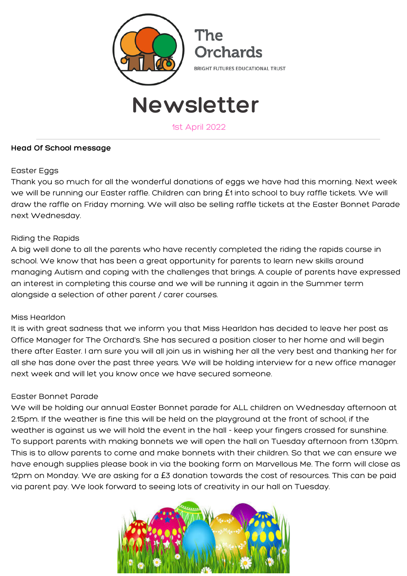

# **Newsletter**

1st April 2022

#### **Head Of School message**

#### Easter Eggs

Thank you so much for all the wonderful donations of eggs we have had this morning. Next week we will be running our Easter raffle. Children can bring £1 into school to buy raffle tickets. We will draw the raffle on Friday morning. We will also be selling raffle tickets at the Easter Bonnet Parade next Wednesday.

#### Riding the Rapids

A big well done to all the parents who have recently completed the riding the rapids course in school. We know that has been a great opportunity for parents to learn new skills around managing Autism and coping with the challenges that brings. A couple of parents have expressed an interest in completing this course and we will be running it again in the Summer term alongside a selection of other parent / carer courses.

#### Miss Hearldon

It is with great sadness that we inform you that Miss Hearldon has decided to leave her post as Office Manager for The Orchard's. She has secured a position closer to her home and will begin there after Easter. I am sure you will all join us in wishing her all the very best and thanking her for all she has done over the past three years. We will be holding interview for a new office manager next week and will let you know once we have secured someone.

#### Easter Bonnet Parade

We will be holding our annual Easter Bonnet parade for ALL children on Wednesday afternoon at 2.15pm. If the weather is fine this will be held on the playground at the front of school, if the weather is against us we will hold the event in the hall - keep your fingers crossed for sunshine. To support parents with making bonnets we will open the hall on Tuesday afternoon from 1.30pm. This is to allow parents to come and make bonnets with their children. So that we can ensure we have enough supplies please book in via the booking form on Marvellous Me. The form will close as 12pm on Monday. We are asking for a £3 donation towards the cost of resources. This can be paid via parent pay. We look forward to seeing lots of creativity in our hall on Tuesday.

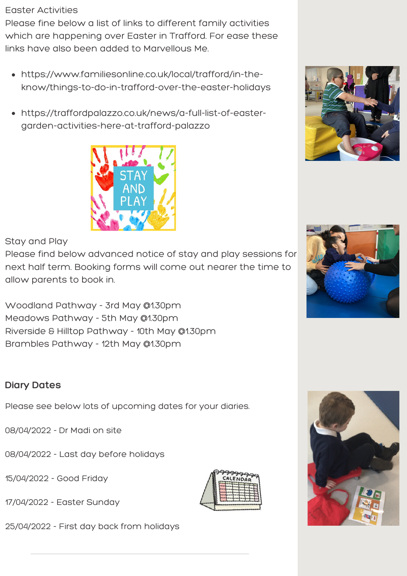#### Easter Activities

Please fine below a list of links to different family activities which are happening over Easter in Trafford. For ease these links have also been added to Marvellous Me.

- https://www.familiesonline.co.uk/local/trafford/in-theknow/things-to-do-in-trafford-over-the-easter-holidays
- [https://traffordpalazzo.co.uk/news/a-full-list-of-easter](https://traffordpalazzo.co.uk/news/a-full-list-of-easter-garden-activities-here-at-trafford-palazzo)garden-activities-here-at-trafford-palazzo



#### Stay and Play

Please find below advanced notice of stay and play sessions for next half term. Booking forms will come out nearer the time to allow parents to book in.

Woodland Pathway - 3rd May @1.30pm Meadows Pathway - 5th May @1.30pm Riverside & Hilltop Pathway - 10th May @1.30pm Brambles Pathway - 12th May @1.30pm

### **Diary Dates**

Please see below lots of upcoming dates for your diaries.

08/04/2022 - Dr Madi on site

- 08/04/2022 Last day before holidays
- 15/04/2022 Good Friday
- 17/04/2022 Easter Sunday

25/04/2022 - First day back from holidays